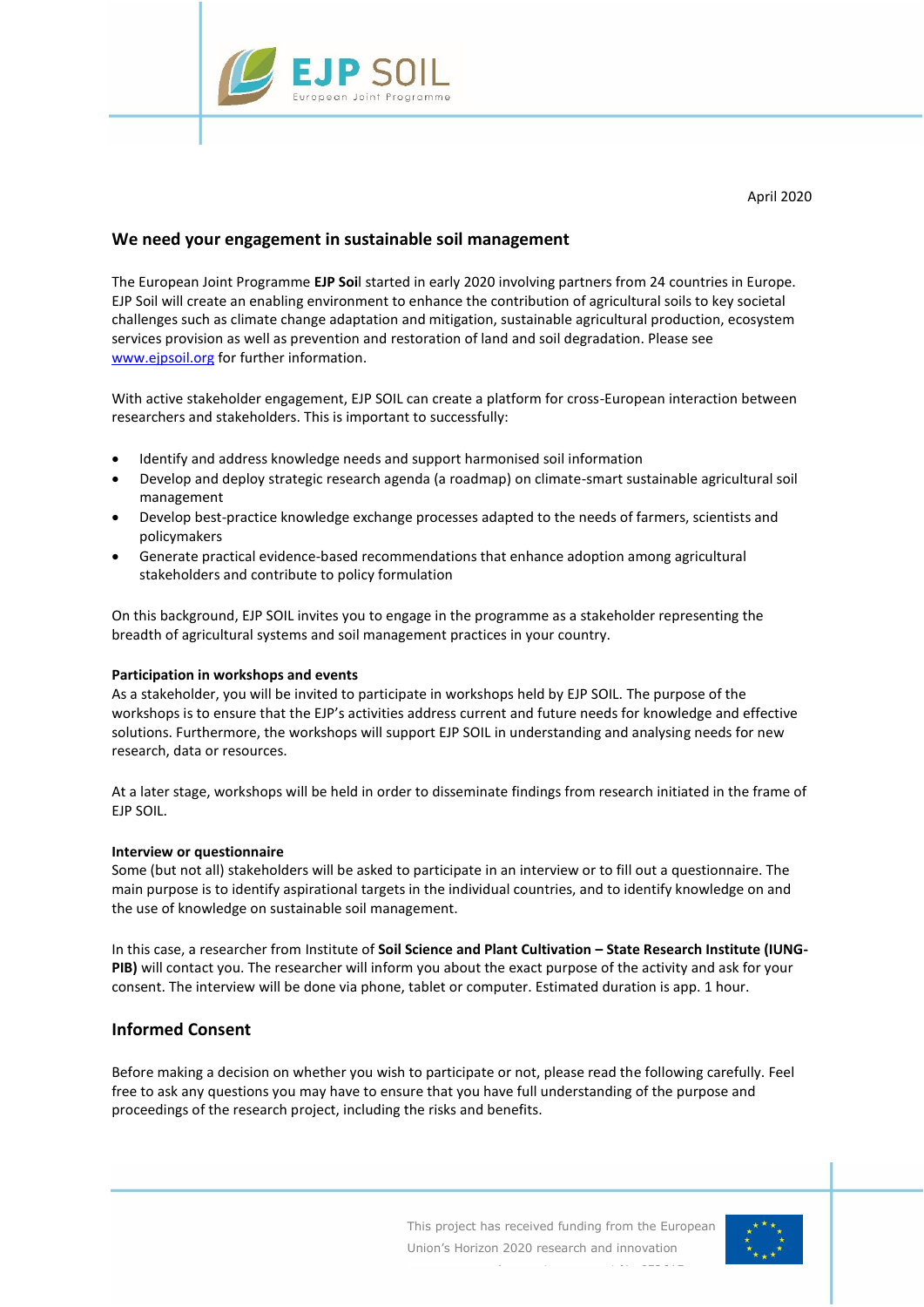

# **We need your engagement in sustainable soil management**

The European Joint Programme **EJP Soi**l started in early 2020 involving partners from 24 countries in Europe. EJP Soil will create an enabling environment to enhance the contribution of agricultural soils to key societal challenges such as climate change adaptation and mitigation, sustainable agricultural production, ecosystem services provision as well as prevention and restoration of land and soil degradation. Please see [www.ejpsoil.org](http://www.ejpsoil.org/) for further information.

With active stakeholder engagement, EJP SOIL can create a platform for cross-European interaction between researchers and stakeholders. This is important to successfully:

- Identify and address knowledge needs and support harmonised soil information
- Develop and deploy strategic research agenda (a roadmap) on climate-smart sustainable agricultural soil management
- Develop best-practice knowledge exchange processes adapted to the needs of farmers, scientists and policymakers
- Generate practical evidence-based recommendations that enhance adoption among agricultural stakeholders and contribute to policy formulation

On this background, EJP SOIL invites you to engage in the programme as a stakeholder representing the breadth of agricultural systems and soil management practices in your country.

## **Participation in workshops and events**

As a stakeholder, you will be invited to participate in workshops held by EJP SOIL. The purpose of the workshops is to ensure that the EJP's activities address current and future needs for knowledge and effective solutions. Furthermore, the workshops will support EJP SOIL in understanding and analysing needs for new research, data or resources.

At a later stage, workshops will be held in order to disseminate findings from research initiated in the frame of EJP SOIL.

## **Interview or questionnaire**

Some (but not all) stakeholders will be asked to participate in an interview or to fill out a questionnaire. The main purpose is to identify aspirational targets in the individual countries, and to identify knowledge on and the use of knowledge on sustainable soil management.

In this case, a researcher from Institute of **Soil Science and Plant Cultivation – State Research Institute (IUNG-PIB)** will contact you. The researcher will inform you about the exact purpose of the activity and ask for your consent. The interview will be done via phone, tablet or computer. Estimated duration is app. 1 hour.

## **Informed Consent**

Before making a decision on whether you wish to participate or not, please read the following carefully. Feel free to ask any questions you may have to ensure that you have full understanding of the purpose and proceedings of the research project, including the risks and benefits.

programme under grant agreement No 652615.

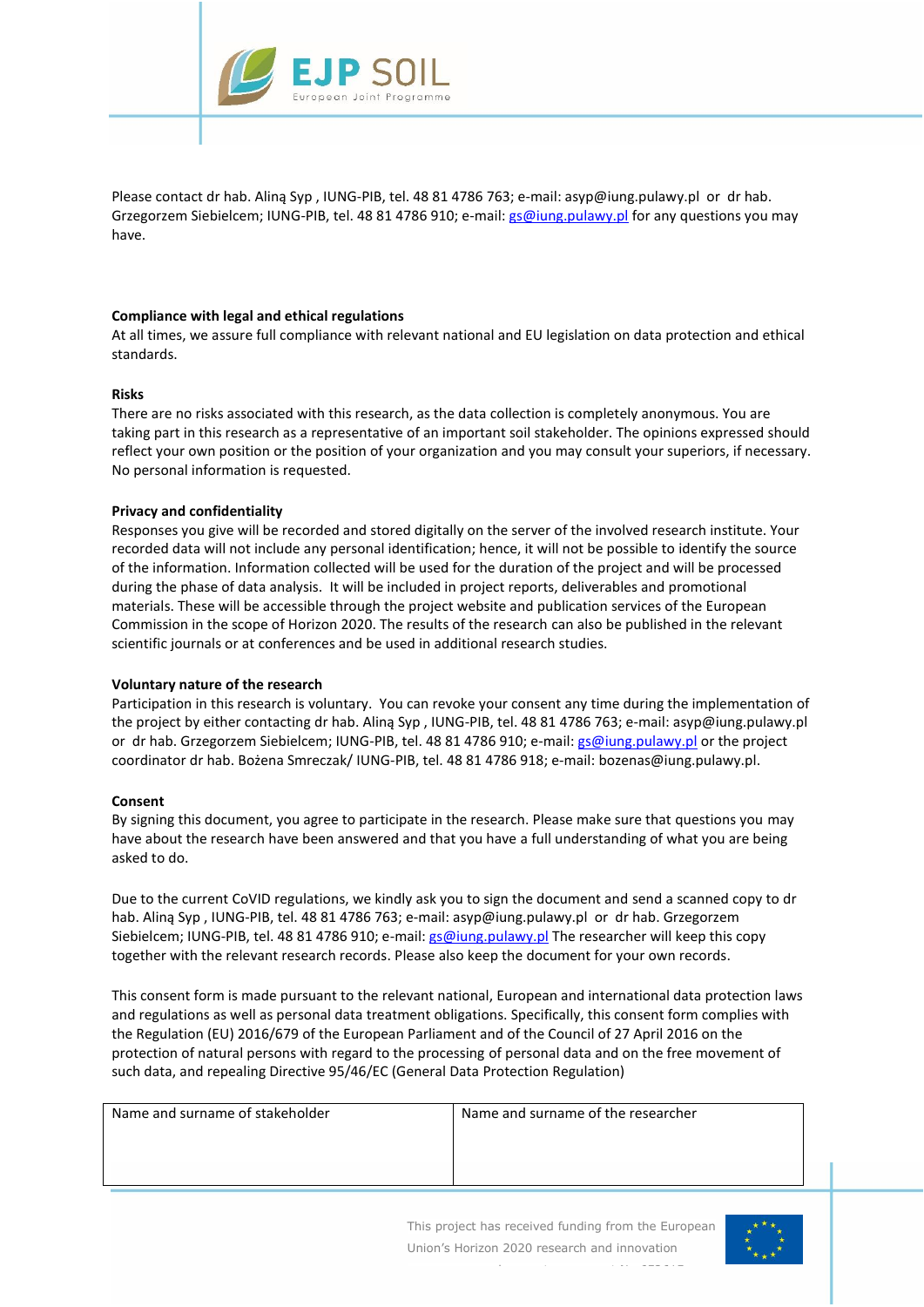

Please contact dr hab. Aliną Syp , IUNG-PIB, tel. 48 81 4786 763; e-mail: asyp@iung.pulawy.pl or dr hab. Grzegorzem Siebielcem; IUNG-PIB, tel. 48 81 4786 910; e-mail: [gs@iung.pulawy.pl](mailto:gs@iung.pulawy.pl) for any questions you may have.

#### **Compliance with legal and ethical regulations**

At all times, we assure full compliance with relevant national and EU legislation on data protection and ethical standards.

#### **Risks**

There are no risks associated with this research, as the data collection is completely anonymous. You are taking part in this research as a representative of an important soil stakeholder. The opinions expressed should reflect your own position or the position of your organization and you may consult your superiors, if necessary. No personal information is requested.

## **Privacy and confidentiality**

Responses you give will be recorded and stored digitally on the server of the involved research institute. Your recorded data will not include any personal identification; hence, it will not be possible to identify the source of the information. Information collected will be used for the duration of the project and will be processed during the phase of data analysis. It will be included in project reports, deliverables and promotional materials. These will be accessible through the project website and publication services of the European Commission in the scope of Horizon 2020. The results of the research can also be published in the relevant scientific journals or at conferences and be used in additional research studies.

#### **Voluntary nature of the research**

Participation in this research is voluntary. You can revoke your consent any time during the implementation of the project by either contacting dr hab. Aliną Syp , IUNG-PIB, tel. 48 81 4786 763; e-mail: asyp@iung.pulawy.pl or dr hab. Grzegorzem Siebielcem; IUNG-PIB, tel. 48 81 4786 910; e-mail[: gs@iung.pulawy.pl](mailto:gs@iung.pulawy.pl) or the project coordinator dr hab. Bożena Smreczak/ IUNG-PIB, tel. 48 81 4786 918; e-mail: bozenas@iung.pulawy.pl.

#### **Consent**

By signing this document, you agree to participate in the research. Please make sure that questions you may have about the research have been answered and that you have a full understanding of what you are being asked to do.

Due to the current CoVID regulations, we kindly ask you to sign the document and send a scanned copy to dr hab. Aliną Syp , IUNG-PIB, tel. 48 81 4786 763; e-mail: asyp@iung.pulawy.pl or dr hab. Grzegorzem Siebielcem; IUNG-PIB, tel. 48 81 4786 910; e-mail[: gs@iung.pulawy.pl](mailto:gs@iung.pulawy.pl) The researcher will keep this copy together with the relevant research records. Please also keep the document for your own records.

This consent form is made pursuant to the relevant national, European and international data protection laws and regulations as well as personal data treatment obligations. Specifically, this consent form complies with the Regulation (EU) 2016/679 of the European Parliament and of the Council of 27 April 2016 on the protection of natural persons with regard to the processing of personal data and on the free movement of such data, and repealing Directive 95/46/EC (General Data Protection Regulation)

| Name and surname of stakeholder | Name and surname of the researcher |
|---------------------------------|------------------------------------|
|                                 |                                    |
|                                 |                                    |

programme under grant agreement No 652615.